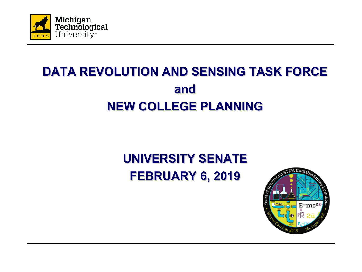

## **DATA REVOLUTION AND SENSING TASK FORCE and NEW COLLEGE PLANNING**

## **UNIVERSITY SENATE FEBRUARY 6, 2019**

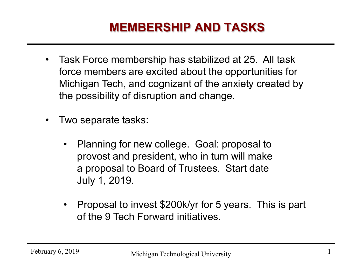#### **MEMBERSHIP AND TASKS**

- Task Force membership has stabilized at 25. All task force members are excited about the opportunities for Michigan Tech, and cognizant of the anxiety created by the possibility of disruption and change.
- Two separate tasks:
	- Planning for new college. Goal: proposal to provost and president, who in turn will make a proposal to Board of Trustees. Start date July 1, 2019.
	- Proposal to invest \$200k/yr for 5 years. This is part of the 9 Tech Forward initiatives.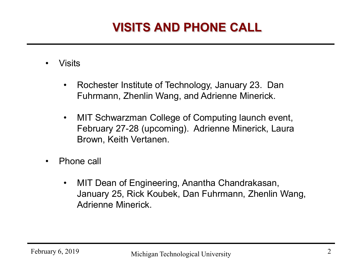# **VISITS AND PHONE CALL**

- Visits
	- Rochester Institute of Technology, January 23. Dan Fuhrmann, Zhenlin Wang, and Adrienne Minerick.
	- MIT Schwarzman College of Computing launch event, February 27-28 (upcoming). Adrienne Minerick, Laura Brown, Keith Vertanen.
- Phone call
	- MIT Dean of Engineering, Anantha Chandrakasan, January 25, Rick Koubek, Dan Fuhrmann, Zhenlin Wang, Adrienne Minerick.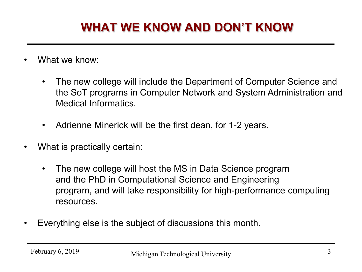### **WHAT WE KNOW AND DON'T KNOW**

- What we know:
	- The new college will include the Department of Computer Science and the SoT programs in Computer Network and System Administration and Medical Informatics.
	- Adrienne Minerick will be the first dean, for 1-2 years.
- What is practically certain:
	- The new college will host the MS in Data Science program and the PhD in Computational Science and Engineering program, and will take responsibility for high-performance computing resources.
- Everything else is the subject of discussions this month.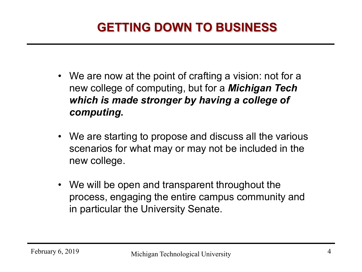## **GETTING DOWN TO BUSINESS**

- We are now at the point of crafting a vision: not for a new college of computing, but for a *Michigan Tech which is made stronger by having a college of computing.*
- We are starting to propose and discuss all the various scenarios for what may or may not be included in the new college.
- We will be open and transparent throughout the process, engaging the entire campus community and in particular the University Senate.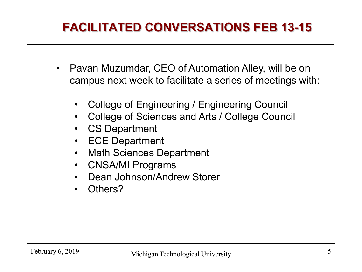#### **FACILITATED CONVERSATIONS FEB 13-15**

- Pavan Muzumdar, CEO of Automation Alley, will be on campus next week to facilitate a series of meetings with:
	- College of Engineering / Engineering Council
	- College of Sciences and Arts / College Council
	- **CS Department**
	- ECE Department
	- Math Sciences Department
	- CNSA/MI Programs
	- Dean Johnson/Andrew Storer
	- Others?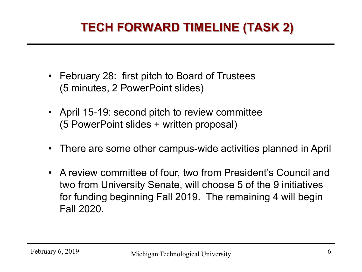## **TECH FORWARD TIMELINE (TASK 2)**

- February 28: first pitch to Board of Trustees (5 minutes, 2 PowerPoint slides)
- April 15-19: second pitch to review committee (5 PowerPoint slides + written proposal)
- There are some other campus-wide activities planned in April
- A review committee of four, two from President's Council and two from University Senate, will choose 5 of the 9 initiatives for funding beginning Fall 2019. The remaining 4 will begin Fall 2020.